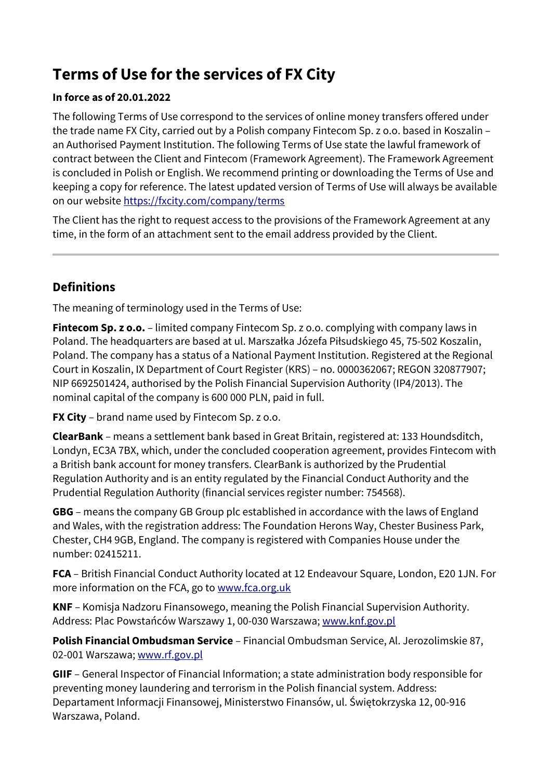# **Terms of Use for the services of FX City**

#### **In force as of 20.01.2022**

The following Terms of Use correspond to the services of online money transfers offered under the trade name FX City, carried out by a Polish company Fintecom Sp. z o.o. based in Koszalin – an Authorised Payment Institution. The following Terms of Use state the lawful framework of contract between the Client and Fintecom (Framework Agreement). The Framework Agreement is concluded in Polish or English. We recommend printing or downloading the Terms of Use and keeping a copy for reference. The latest updated version of Terms of Use will always be available on our website<https://fxcity.com/company/terms>

The Client has the right to request access to the provisions of the Framework Agreement at any time, in the form of an attachment sent to the email address provided by the Client.

#### **Definitions**

The meaning of terminology used in the Terms of Use:

**Fintecom Sp. z o.o.** – limited company Fintecom Sp. z o.o. complying with company laws in Poland. The headquarters are based at ul. Marszałka Józefa Piłsudskiego 45, 75-502 Koszalin, Poland. The company has a status of a National Payment Institution. Registered at the Regional Court in Koszalin, IX Department of Court Register (KRS) – no. 0000362067; REGON 320877907; NIP 6692501424, authorised by the Polish Financial Supervision Authority (IP4/2013). The nominal capital of the company is 600 000 PLN, paid in full.

**FX City** – brand name used by Fintecom Sp. z o.o.

**ClearBank** – means a settlement bank based in Great Britain, registered at: 133 Houndsditch, Londyn, EC3A 7BX, which, under the concluded cooperation agreement, provides Fintecom with a British bank account for money transfers. ClearBank is authorized by the Prudential Regulation Authority and is an entity regulated by the Financial Conduct Authority and the Prudential Regulation Authority (financial services register number: 754568).

**GBG** – means the company GB Group plc established in accordance with the laws of England and Wales, with the registration address: The Foundation Herons Way, Chester Business Park, Chester, CH4 9GB, England. The company is registered with Companies House under the number: 02415211.

**FCA** – British Financial Conduct Authority located at 12 Endeavour Square, London, E20 1JN. For more information on the FCA, go to [www.fca.org.uk](https://www.fca.org.uk/)

**KNF** – Komisja Nadzoru Finansowego, meaning the Polish Financial Supervision Authority. Address: Plac Powstańców Warszawy 1, 00-030 Warszawa; [www.knf.gov.pl](http://www.knf.gov.pl/)

**Polish Financial Ombudsman Service** – Financial Ombudsman Service, Al. Jerozolimskie 87, 02-001 Warszawa; [www.rf.gov.pl](https://rf.gov.pl/)

**GIIF** – General Inspector of Financial Information; a state administration body responsible for preventing money laundering and terrorism in the Polish financial system. Address: Departament Informacji Finansowej, Ministerstwo Finansów, ul. Świętokrzyska 12, 00-916 Warszawa, Poland.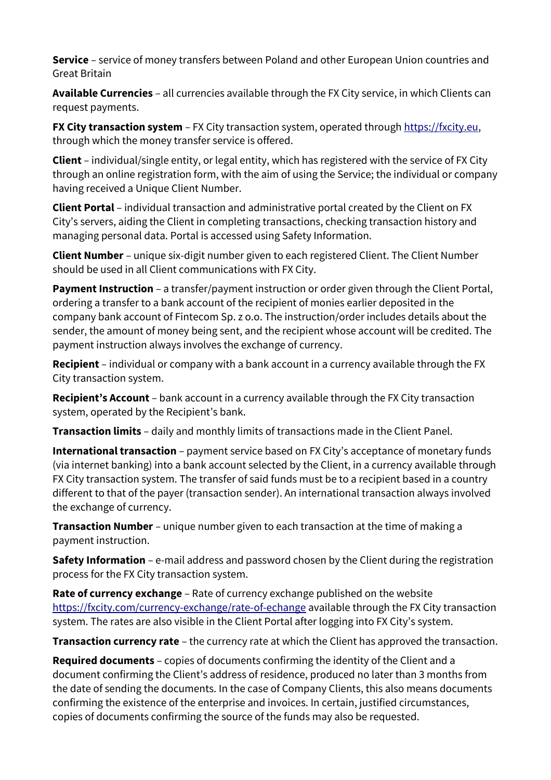**Service** – service of money transfers between Poland and other European Union countries and Great Britain

**Available Currencies** – all currencies available through the FX City service, in which Clients can request payments.

**FX City transaction system** – FX City transaction system, operated through [https://fxcity.eu,](https://fxcity.eu/) through which the money transfer service is offered.

**Client** – individual/single entity, or legal entity, which has registered with the service of FX City through an online registration form, with the aim of using the Service; the individual or company having received a Unique Client Number.

**Client Portal** – individual transaction and administrative portal created by the Client on FX City's servers, aiding the Client in completing transactions, checking transaction history and managing personal data. Portal is accessed using Safety Information.

**Client Number** – unique six-digit number given to each registered Client. The Client Number should be used in all Client communications with FX City.

**Payment Instruction** – a transfer/payment instruction or order given through the Client Portal, ordering a transfer to a bank account of the recipient of monies earlier deposited in the company bank account of Fintecom Sp. z o.o. The instruction/order includes details about the sender, the amount of money being sent, and the recipient whose account will be credited. The payment instruction always involves the exchange of currency.

**Recipient** – individual or company with a bank account in a currency available through the FX City transaction system.

**Recipient's Account** – bank account in a currency available through the FX City transaction system, operated by the Recipient's bank.

**Transaction limits** – daily and monthly limits of transactions made in the Client Panel.

**International transaction** – payment service based on FX City's acceptance of monetary funds (via internet banking) into a bank account selected by the Client, in a currency available through FX City transaction system. The transfer of said funds must be to a recipient based in a country different to that of the payer (transaction sender). An international transaction always involved the exchange of currency.

**Transaction Number** – unique number given to each transaction at the time of making a payment instruction.

**Safety Information** – e-mail address and password chosen by the Client during the registration process for the FX City transaction system.

**Rate of currency exchange** – Rate of currency exchange published on the website [https://fxcity.com/currency-exchange/rate-of-echange](https://fxcity.com/currency-exchange/rate-of-exchange) available through the FX City transaction system. The rates are also visible in the Client Portal after logging into FX City's system.

**Transaction currency rate** – the currency rate at which the Client has approved the transaction.

**Required documents** – copies of documents confirming the identity of the Client and a document confirming the Client's address of residence, produced no later than 3 months from the date of sending the documents. In the case of Company Clients, this also means documents confirming the existence of the enterprise and invoices. In certain, justified circumstances, copies of documents confirming the source of the funds may also be requested.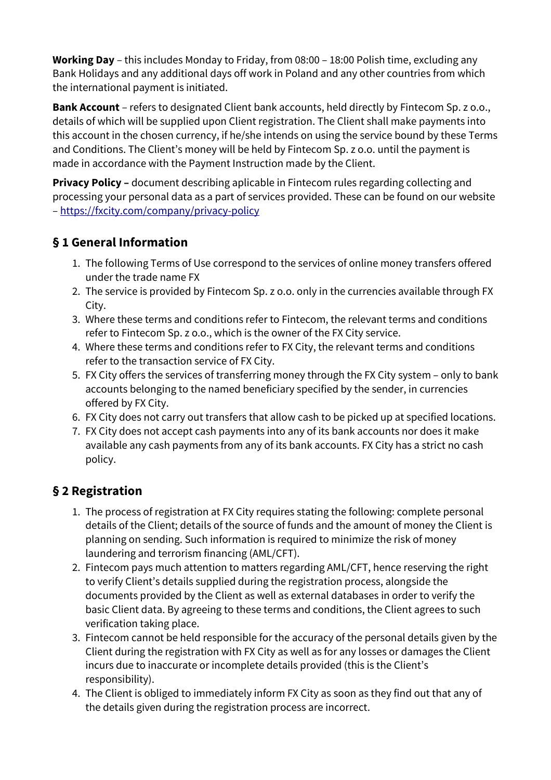**Working Day** – this includes Monday to Friday, from 08:00 – 18:00 Polish time, excluding any Bank Holidays and any additional days off work in Poland and any other countries from which the international payment is initiated.

**Bank Account** – refers to designated Client bank accounts, held directly by Fintecom Sp. z o.o., details of which will be supplied upon Client registration. The Client shall make payments into this account in the chosen currency, if he/she intends on using the service bound by these Terms and Conditions. The Client's money will be held by Fintecom Sp. z o.o. until the payment is made in accordance with the Payment Instruction made by the Client.

**Privacy Policy –** document describing aplicable in Fintecom rules regarding collecting and processing your personal data as a part of services provided. These can be found on our website –<https://fxcity.com/company/privacy-policy>

### **§ 1 General Information**

- 1. The following Terms of Use correspond to the services of online money transfers offered under the trade name FX
- 2. The service is provided by Fintecom Sp. z o.o. only in the currencies available through FX City.
- 3. Where these terms and conditions refer to Fintecom, the relevant terms and conditions refer to Fintecom Sp. z o.o., which is the owner of the FX City service.
- 4. Where these terms and conditions refer to FX City, the relevant terms and conditions refer to the transaction service of FX City.
- 5. FX City offers the services of transferring money through the FX City system only to bank accounts belonging to the named beneficiary specified by the sender, in currencies offered by FX City.
- 6. FX City does not carry out transfers that allow cash to be picked up at specified locations.
- 7. FX City does not accept cash payments into any of its bank accounts nor does it make available any cash payments from any of its bank accounts. FX City has a strict no cash policy.

### **§ 2 Registration**

- 1. The process of registration at FX City requires stating the following: complete personal details of the Client; details of the source of funds and the amount of money the Client is planning on sending. Such information is required to minimize the risk of money laundering and terrorism financing (AML/CFT).
- 2. Fintecom pays much attention to matters regarding AML/CFT, hence reserving the right to verify Client's details supplied during the registration process, alongside the documents provided by the Client as well as external databases in order to verify the basic Client data. By agreeing to these terms and conditions, the Client agrees to such verification taking place.
- 3. Fintecom cannot be held responsible for the accuracy of the personal details given by the Client during the registration with FX City as well as for any losses or damages the Client incurs due to inaccurate or incomplete details provided (this is the Client's responsibility).
- 4. The Client is obliged to immediately inform FX City as soon as they find out that any of the details given during the registration process are incorrect.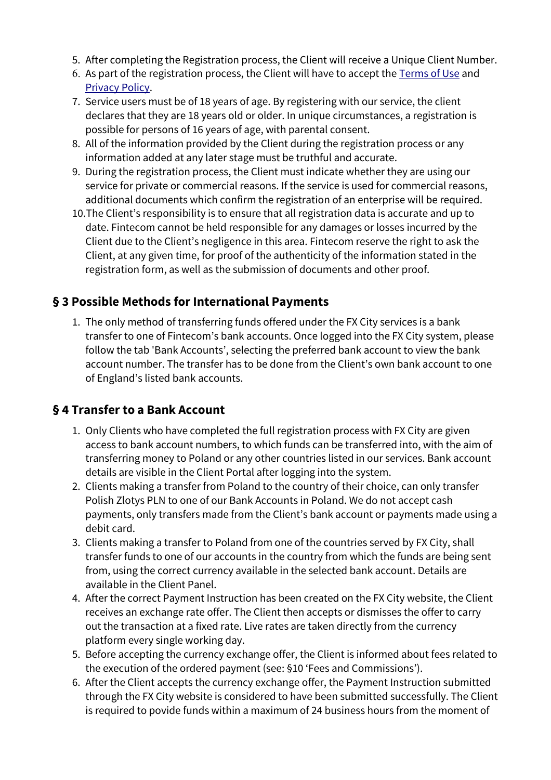- 5. After completing the Registration process, the Client will receive a Unique Client Number.
- 6. As part of the registration process, the Client will have to accept the [Terms of Use](https://fxcity.com/company/terms) and [Privacy Policy.](https://fxcity.com/company/privacy-policy)
- 7. Service users must be of 18 years of age. By registering with our service, the client declares that they are 18 years old or older. In unique circumstances, a registration is possible for persons of 16 years of age, with parental consent.
- 8. All of the information provided by the Client during the registration process or any information added at any later stage must be truthful and accurate.
- 9. During the registration process, the Client must indicate whether they are using our service for private or commercial reasons. If the service is used for commercial reasons, additional documents which confirm the registration of an enterprise will be required.
- 10.The Client's responsibility is to ensure that all registration data is accurate and up to date. Fintecom cannot be held responsible for any damages or losses incurred by the Client due to the Client's negligence in this area. Fintecom reserve the right to ask the Client, at any given time, for proof of the authenticity of the information stated in the registration form, as well as the submission of documents and other proof.

#### **§ 3 Possible Methods for International Payments**

1. The only method of transferring funds offered under the FX City services is a bank transfer to one of Fintecom's bank accounts. Once logged into the FX City system, please follow the tab 'Bank Accounts', selecting the preferred bank account to view the bank account number. The transfer has to be done from the Client's own bank account to one of England's listed bank accounts.

### **§ 4 Transfer to a Bank Account**

- 1. Only Clients who have completed the full registration process with FX City are given access to bank account numbers, to which funds can be transferred into, with the aim of transferring money to Poland or any other countries listed in our services. Bank account details are visible in the Client Portal after logging into the system.
- 2. Clients making a transfer from Poland to the country of their choice, can only transfer Polish Zlotys PLN to one of our Bank Accounts in Poland. We do not accept cash payments, only transfers made from the Client's bank account or payments made using a debit card.
- 3. Clients making a transfer to Poland from one of the countries served by FX City, shall transfer funds to one of our accounts in the country from which the funds are being sent from, using the correct currency available in the selected bank account. Details are available in the Client Panel.
- 4. After the correct Payment Instruction has been created on the FX City website, the Client receives an exchange rate offer. The Client then accepts or dismisses the offer to carry out the transaction at a fixed rate. Live rates are taken directly from the currency platform every single working day.
- 5. Before accepting the currency exchange offer, the Client is informed about fees related to the execution of the ordered payment (see: §10 'Fees and Commissions').
- 6. After the Client accepts the currency exchange offer, the Payment Instruction submitted through the FX City website is considered to have been submitted successfully. The Client is required to povide funds within a maximum of 24 business hours from the moment of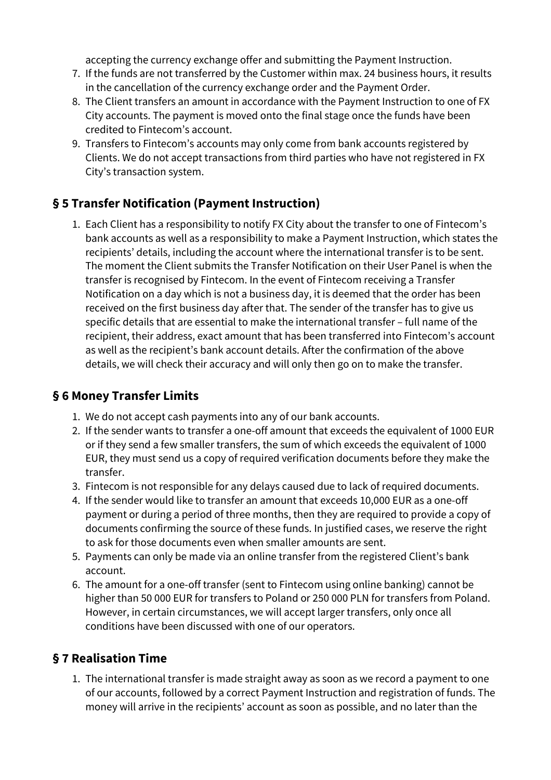accepting the currency exchange offer and submitting the Payment Instruction.

- 7. If the funds are not transferred by the Customer within max. 24 business hours, it results in the cancellation of the currency exchange order and the Payment Order.
- 8. The Client transfers an amount in accordance with the Payment Instruction to one of FX City accounts. The payment is moved onto the final stage once the funds have been credited to Fintecom's account.
- 9. Transfers to Fintecom's accounts may only come from bank accounts registered by Clients. We do not accept transactions from third parties who have not registered in FX City's transaction system.

### **§ 5 Transfer Notification (Payment Instruction)**

1. Each Client has a responsibility to notify FX City about the transfer to one of Fintecom's bank accounts as well as a responsibility to make a Payment Instruction, which states the recipients' details, including the account where the international transfer is to be sent. The moment the Client submits the Transfer Notification on their User Panel is when the transfer is recognised by Fintecom. In the event of Fintecom receiving a Transfer Notification on a day which is not a business day, it is deemed that the order has been received on the first business day after that. The sender of the transfer has to give us specific details that are essential to make the international transfer – full name of the recipient, their address, exact amount that has been transferred into Fintecom's account as well as the recipient's bank account details. After the confirmation of the above details, we will check their accuracy and will only then go on to make the transfer.

#### **§ 6 Money Transfer Limits**

- 1. We do not accept cash payments into any of our bank accounts.
- 2. If the sender wants to transfer a one-off amount that exceeds the equivalent of 1000 EUR or if they send a few smaller transfers, the sum of which exceeds the equivalent of 1000 EUR, they must send us a copy of required verification documents before they make the transfer.
- 3. Fintecom is not responsible for any delays caused due to lack of required documents.
- 4. If the sender would like to transfer an amount that exceeds 10,000 EUR as a one-off payment or during a period of three months, then they are required to provide a copy of documents confirming the source of these funds. In justified cases, we reserve the right to ask for those documents even when smaller amounts are sent.
- 5. Payments can only be made via an online transfer from the registered Client's bank account.
- 6. The amount for a one-off transfer (sent to Fintecom using online banking) cannot be higher than 50 000 EUR for transfers to Poland or 250 000 PLN for transfers from Poland. However, in certain circumstances, we will accept larger transfers, only once all conditions have been discussed with one of our operators.

### **§ 7 Realisation Time**

1. The international transfer is made straight away as soon as we record a payment to one of our accounts, followed by a correct Payment Instruction and registration of funds. The money will arrive in the recipients' account as soon as possible, and no later than the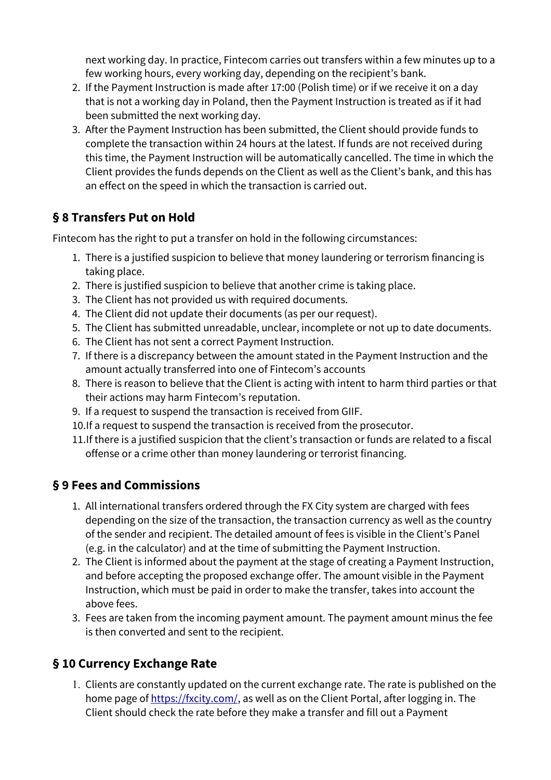next working day. In practice, Fintecom carries out transfers within a few minutes up to a few working hours, every working day, depending on the recipient's bank.

- 2. If the Payment Instruction is made after 17:00 (Polish time) or if we receive it on a day that is not a working day in Poland, then the Payment Instruction is treated as if it had been submitted the next working day.
- 3. After the Payment Instruction has been submitted, the Client should provide funds to complete the transaction within 24 hours at the latest. If funds are not received during this time, the Payment Instruction will be automatically cancelled. The time in which the Client provides the funds depends on the Client as well as the Client's bank, and this has an effect on the speed in which the transaction is carried out.

### **§ 8 Transfers Put on Hold**

Fintecom has the right to put a transfer on hold in the following circumstances:

- 1. There is a justified suspicion to believe that money laundering or terrorism financing is taking place.
- 2. There is justified suspicion to believe that another crime is taking place.
- 3. The Client has not provided us with required documents.
- 4. The Client did not update their documents (as per our request).
- 5. The Client has submitted unreadable, unclear, incomplete or not up to date documents.
- 6. The Client has not sent a correct Payment Instruction.
- 7. If there is a discrepancy between the amount stated in the Payment Instruction and the amount actually transferred into one of Fintecom's accounts
- 8. There is reason to believe that the Client is acting with intent to harm third parties or that their actions may harm Fintecom's reputation.
- 9. If a request to suspend the transaction is received from GIIF.
- 10.If a request to suspend the transaction is received from the prosecutor.
- 11.If there is a justified suspicion that the client's transaction or funds are related to a fiscal offense or a crime other than money laundering or terrorist financing.

## **§ 9 Fees and Commissions**

- 1. All international transfers ordered through the FX City system are charged with fees depending on the size of the transaction, the transaction currency as well as the country of the sender and recipient. The detailed amount of fees is visible in the Client's Panel (e.g. in the calculator) and at the time of submitting the Payment Instruction.
- 2. The Client is informed about the payment at the stage of creating a Payment Instruction, and before accepting the proposed exchange offer. The amount visible in the Payment Instruction, which must be paid in order to make the transfer, takes into account the above fees.
- 3. Fees are taken from the incoming payment amount. The payment amount minus the fee is then converted and sent to the recipient.

## **§ 10 Currency Exchange Rate**

1. Clients are constantly updated on the current exchange rate. The rate is published on the home page of [https://fxcity.com/,](https://fxcity.com/) as well as on the Client Portal, after logging in. The Client should check the rate before they make a transfer and fill out a Payment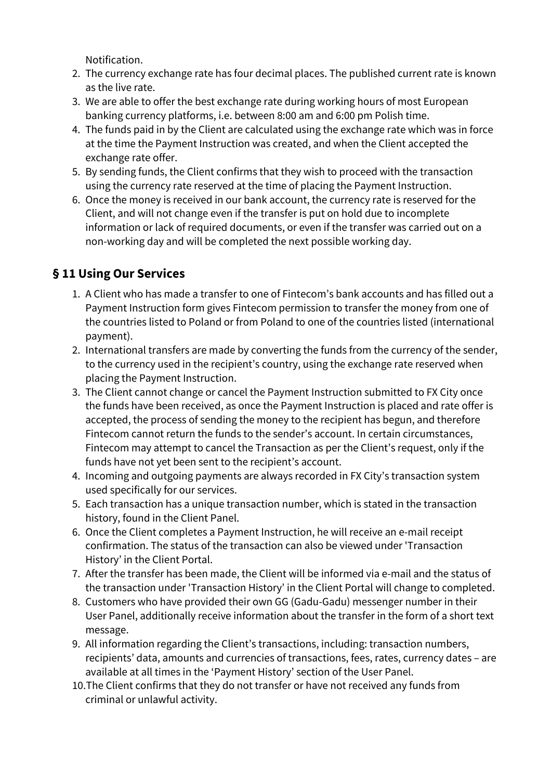Notification.

- 2. The currency exchange rate has four decimal places. The published current rate is known as the live rate.
- 3. We are able to offer the best exchange rate during working hours of most European banking currency platforms, i.e. between 8:00 am and 6:00 pm Polish time.
- 4. The funds paid in by the Client are calculated using the exchange rate which was in force at the time the Payment Instruction was created, and when the Client accepted the exchange rate offer.
- 5. By sending funds, the Client confirms that they wish to proceed with the transaction using the currency rate reserved at the time of placing the Payment Instruction.
- 6. Once the money is received in our bank account, the currency rate is reserved for the Client, and will not change even if the transfer is put on hold due to incomplete information or lack of required documents, or even if the transfer was carried out on a non-working day and will be completed the next possible working day.

## **§ 11 Using Our Services**

- 1. A Client who has made a transfer to one of Fintecom's bank accounts and has filled out a Payment Instruction form gives Fintecom permission to transfer the money from one of the countries listed to Poland or from Poland to one of the countries listed (international payment).
- 2. International transfers are made by converting the funds from the currency of the sender, to the currency used in the recipient's country, using the exchange rate reserved when placing the Payment Instruction.
- 3. The Client cannot change or cancel the Payment Instruction submitted to FX City once the funds have been received, as once the Payment Instruction is placed and rate offer is accepted, the process of sending the money to the recipient has begun, and therefore Fintecom cannot return the funds to the sender's account. In certain circumstances, Fintecom may attempt to cancel the Transaction as per the Client's request, only if the funds have not yet been sent to the recipient's account.
- 4. Incoming and outgoing payments are always recorded in FX City's transaction system used specifically for our services.
- 5. Each transaction has a unique transaction number, which is stated in the transaction history, found in the Client Panel.
- 6. Once the Client completes a Payment Instruction, he will receive an e-mail receipt confirmation. The status of the transaction can also be viewed under 'Transaction History' in the Client Portal.
- 7. After the transfer has been made, the Client will be informed via e-mail and the status of the transaction under 'Transaction History' in the Client Portal will change to completed.
- 8. Customers who have provided their own GG (Gadu-Gadu) messenger number in their User Panel, additionally receive information about the transfer in the form of a short text message.
- 9. All information regarding the Client's transactions, including: transaction numbers, recipients' data, amounts and currencies of transactions, fees, rates, currency dates – are available at all times in the 'Payment History' section of the User Panel.
- 10.The Client confirms that they do not transfer or have not received any funds from criminal or unlawful activity.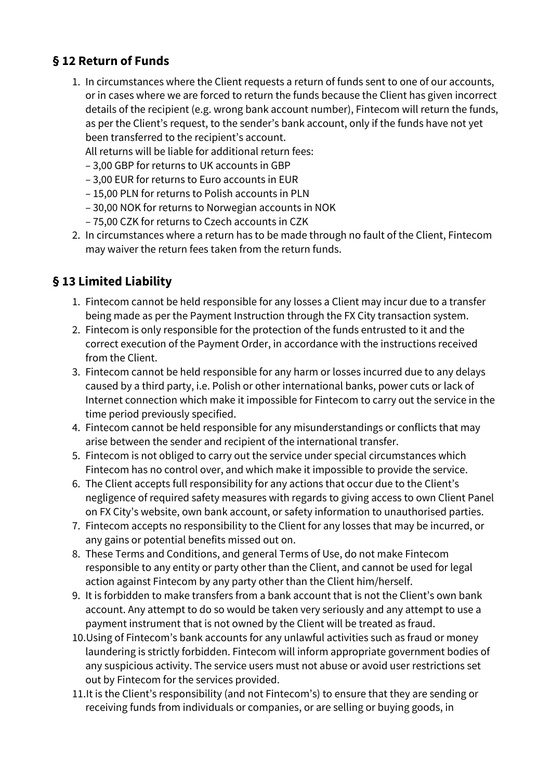#### **§ 12 Return of Funds**

1. In circumstances where the Client requests a return of funds sent to one of our accounts, or in cases where we are forced to return the funds because the Client has given incorrect details of the recipient (e.g. wrong bank account number), Fintecom will return the funds, as per the Client's request, to the sender's bank account, only if the funds have not yet been transferred to the recipient's account.

All returns will be liable for additional return fees:

- 3,00 GBP for returns to UK accounts in GBP
- 3,00 EUR for returns to Euro accounts in EUR
- 15,00 PLN for returns to Polish accounts in PLN
- 30,00 NOK for returns to Norwegian accounts in NOK
- 75,00 CZK for returns to Czech accounts in CZK
- 2. In circumstances where a return has to be made through no fault of the Client, Fintecom may waiver the return fees taken from the return funds.

### **§ 13 Limited Liability**

- 1. Fintecom cannot be held responsible for any losses a Client may incur due to a transfer being made as per the Payment Instruction through the FX City transaction system.
- 2. Fintecom is only responsible for the protection of the funds entrusted to it and the correct execution of the Payment Order, in accordance with the instructions received from the Client.
- 3. Fintecom cannot be held responsible for any harm or losses incurred due to any delays caused by a third party, i.e. Polish or other international banks, power cuts or lack of Internet connection which make it impossible for Fintecom to carry out the service in the time period previously specified.
- 4. Fintecom cannot be held responsible for any misunderstandings or conflicts that may arise between the sender and recipient of the international transfer.
- 5. Fintecom is not obliged to carry out the service under special circumstances which Fintecom has no control over, and which make it impossible to provide the service.
- 6. The Client accepts full responsibility for any actions that occur due to the Client's negligence of required safety measures with regards to giving access to own Client Panel on FX City's website, own bank account, or safety information to unauthorised parties.
- 7. Fintecom accepts no responsibility to the Client for any losses that may be incurred, or any gains or potential benefits missed out on.
- 8. These Terms and Conditions, and general Terms of Use, do not make Fintecom responsible to any entity or party other than the Client, and cannot be used for legal action against Fintecom by any party other than the Client him/herself.
- 9. It is forbidden to make transfers from a bank account that is not the Client's own bank account. Any attempt to do so would be taken very seriously and any attempt to use a payment instrument that is not owned by the Client will be treated as fraud.
- 10.Using of Fintecom's bank accounts for any unlawful activities such as fraud or money laundering is strictly forbidden. Fintecom will inform appropriate government bodies of any suspicious activity. The service users must not abuse or avoid user restrictions set out by Fintecom for the services provided.
- 11.It is the Client's responsibility (and not Fintecom's) to ensure that they are sending or receiving funds from individuals or companies, or are selling or buying goods, in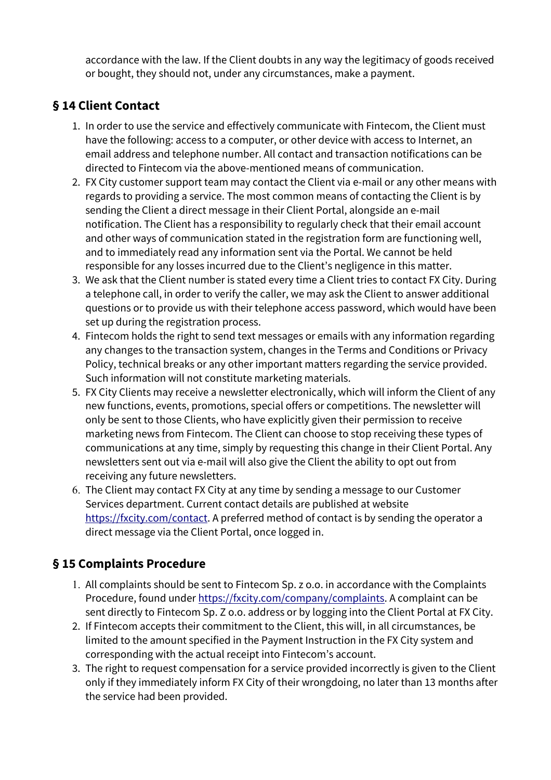accordance with the law. If the Client doubts in any way the legitimacy of goods received or bought, they should not, under any circumstances, make a payment.

### **§ 14 Client Contact**

- 1. In order to use the service and effectively communicate with Fintecom, the Client must have the following: access to a computer, or other device with access to Internet, an email address and telephone number. All contact and transaction notifications can be directed to Fintecom via the above-mentioned means of communication.
- 2. FX City customer support team may contact the Client via e-mail or any other means with regards to providing a service. The most common means of contacting the Client is by sending the Client a direct message in their Client Portal, alongside an e-mail notification. The Client has a responsibility to regularly check that their email account and other ways of communication stated in the registration form are functioning well, and to immediately read any information sent via the Portal. We cannot be held responsible for any losses incurred due to the Client's negligence in this matter.
- 3. We ask that the Client number is stated every time a Client tries to contact FX City. During a telephone call, in order to verify the caller, we may ask the Client to answer additional questions or to provide us with their telephone access password, which would have been set up during the registration process.
- 4. Fintecom holds the right to send text messages or emails with any information regarding any changes to the transaction system, changes in the Terms and Conditions or Privacy Policy, technical breaks or any other important matters regarding the service provided. Such information will not constitute marketing materials.
- 5. FX City Clients may receive a newsletter electronically, which will inform the Client of any new functions, events, promotions, special offers or competitions. The newsletter will only be sent to those Clients, who have explicitly given their permission to receive marketing news from Fintecom. The Client can choose to stop receiving these types of communications at any time, simply by requesting this change in their Client Portal. Any newsletters sent out via e-mail will also give the Client the ability to opt out from receiving any future newsletters.
- 6. The Client may contact FX City at any time by sending a message to our Customer Services department. Current contact details are published at website [https://fxcity.com/contact.](https://fxcity.com/contact) A preferred method of contact is by sending the operator a direct message via the Client Portal, once logged in.

### **§ 15 Complaints Procedure**

- 1. All complaints should be sent to Fintecom Sp. z o.o. in accordance with the Complaints Procedure, found under [https://fxcity.com/company/complaints.](https://fxcity.com/company/complaints) A complaint can be sent directly to Fintecom Sp. Z o.o. address or by logging into the Client Portal at FX City.
- 2. If Fintecom accepts their commitment to the Client, this will, in all circumstances, be limited to the amount specified in the Payment Instruction in the FX City system and corresponding with the actual receipt into Fintecom's account.
- 3. The right to request compensation for a service provided incorrectly is given to the Client only if they immediately inform FX City of their wrongdoing, no later than 13 months after the service had been provided.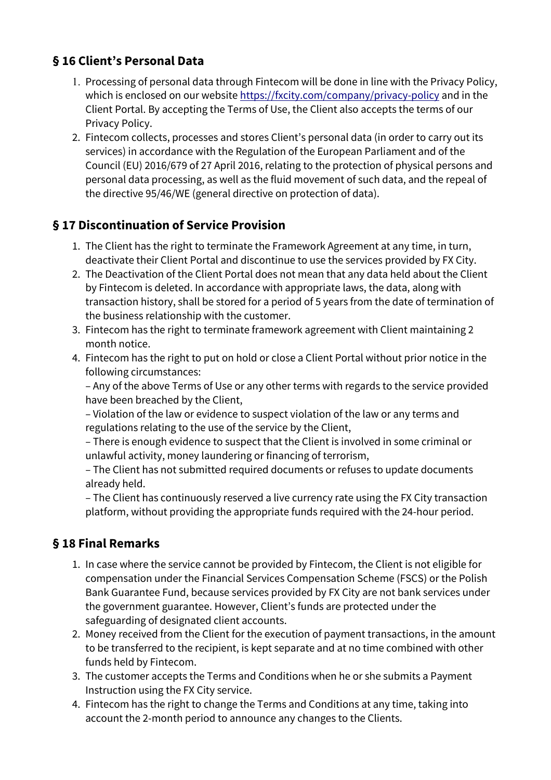### **§ 16 Client's Personal Data**

- 1. Processing of personal data through Fintecom will be done in line with the Privacy Policy, which is enclosed on our website<https://fxcity.com/company/privacy-policy>and in the Client Portal. By accepting the Terms of Use, the Client also accepts the terms of our Privacy Policy.
- 2. Fintecom collects, processes and stores Client's personal data (in order to carry out its services) in accordance with the Regulation of the European Parliament and of the Council (EU) 2016/679 of 27 April 2016, relating to the protection of physical persons and personal data processing, as well as the fluid movement of such data, and the repeal of the directive 95/46/WE (general directive on protection of data).

### **§ 17 Discontinuation of Service Provision**

- 1. The Client has the right to terminate the Framework Agreement at any time, in turn, deactivate their Client Portal and discontinue to use the services provided by FX City.
- 2. The Deactivation of the Client Portal does not mean that any data held about the Client by Fintecom is deleted. In accordance with appropriate laws, the data, along with transaction history, shall be stored for a period of 5 years from the date of termination of the business relationship with the customer.
- 3. Fintecom has the right to terminate framework agreement with Client maintaining 2 month notice.
- 4. Fintecom has the right to put on hold or close a Client Portal without prior notice in the following circumstances:

– Any of the above Terms of Use or any other terms with regards to the service provided have been breached by the Client,

– Violation of the law or evidence to suspect violation of the law or any terms and regulations relating to the use of the service by the Client,

– There is enough evidence to suspect that the Client is involved in some criminal or unlawful activity, money laundering or financing of terrorism,

– The Client has not submitted required documents or refuses to update documents already held.

– The Client has continuously reserved a live currency rate using the FX City transaction platform, without providing the appropriate funds required with the 24-hour period.

## **§ 18 Final Remarks**

- 1. In case where the service cannot be provided by Fintecom, the Client is not eligible for compensation under the Financial Services Compensation Scheme (FSCS) or the Polish Bank Guarantee Fund, because services provided by FX City are not bank services under the government guarantee. However, Client's funds are protected under the safeguarding of designated client accounts.
- 2. Money received from the Client for the execution of payment transactions, in the amount to be transferred to the recipient, is kept separate and at no time combined with other funds held by Fintecom.
- 3. The customer accepts the Terms and Conditions when he or she submits a Payment Instruction using the FX City service.
- 4. Fintecom has the right to change the Terms and Conditions at any time, taking into account the 2-month period to announce any changes to the Clients.